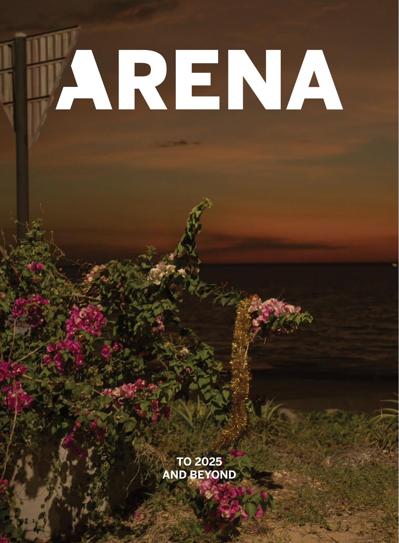# JARENA

**TO 2025 AND BEYOND**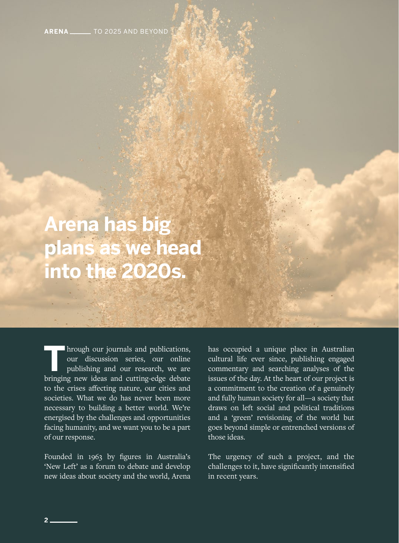**ARENA** \_\_\_\_\_\_\_ TO 2025 AND BEYOND

# **Arena has big plans as we head into the 2020s.**

**T**hrough our journals and publications, our discussion series, our online publishing and our research, we are bringing new ideas and cutting-edge debate to the crises affecting nature, our cities and societies. What we do has never been more necessary to building a better world. We're energised by the challenges and opportunities facing humanity, and we want you to be a part of our response.

Founded in 1963 by figures in Australia's 'New Left' as a forum to debate and develop new ideas about society and the world, Arena

has occupied a unique place in Australian cultural life ever since, publishing engaged commentary and searching analyses of the issues of the day. At the heart of our project is a commitment to the creation of a genuinely and fully human society for all—a society that draws on left social and political traditions and a 'green' revisioning of the world but goes beyond simple or entrenched versions of those ideas.

The urgency of such a project, and the challenges to it, have significantly intensified in recent years.

**2**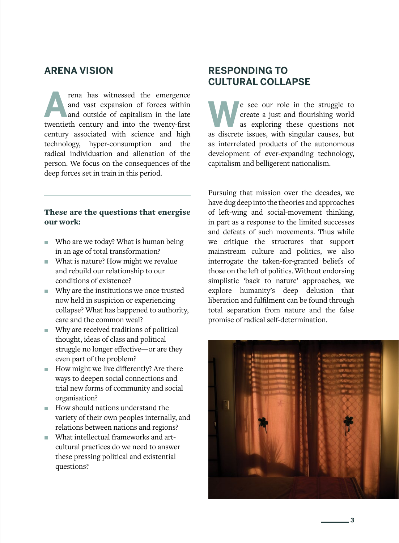#### **ARENA VISION**

**A**<br>**A** rena has witnessed the emergence and vast expansion of forces within and outside of capitalism in the late and vast expansion of forces within twentieth century and into the twenty-first century associated with science and high technology, hyper-consumption and the radical individuation and alienation of the person. We focus on the consequences of the deep forces set in train in this period.

#### These are the questions that energise our work:

- Who are we today? What is human being in an age of total transformation?
- What is nature? How might we revalue and rebuild our relationship to our conditions of existence?
- ɋ Why are the institutions we once trusted now held in suspicion or experiencing collapse? What has happened to authority, care and the common weal?
- Why are received traditions of political thought, ideas of class and political struggle no longer effective—or are they even part of the problem?
- How might we live differently? Are there ways to deepen social connections and trial new forms of community and social organisation?
- How should nations understand the variety of their own peoples internally, and relations between nations and regions?
- What intellectual frameworks and artcultural practices do we need to answer these pressing political and existential questions?

#### **RESPONDING TO CULTURAL COLLAPSE**

**W**e see our role in the struggle to create a just and flourishing world as exploring these questions not as discrete issues with singular causes but create a just and flourishing world as discrete issues, with singular causes, but as interrelated products of the autonomous development of ever-expanding technology, capitalism and belligerent nationalism.

Pursuing that mission over the decades, we have dug deep into the theories and approaches of left-wing and social-movement thinking, in part as a response to the limited successes and defeats of such movements. Thus while we critique the structures that support mainstream culture and politics, we also interrogate the taken-for-granted beliefs of those on the left of politics. Without endorsing simplistic 'back to nature' approaches, we explore humanity's deep delusion that liberation and fulfilment can be found through total separation from nature and the false promise of radical self-determination.



 **3**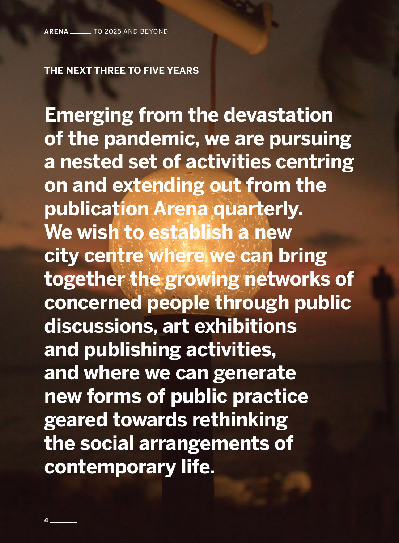#### **THE NEXT THREE TO FIVE YEARS**

**Emerging from the devastation of the pandemic, we are pursuing a nested set of activities centring on and extending out from the publication Arena quarterly. We wish to establish a new city centre where we can bring together the growing networks of concerned people through public discussions, art exhibitions and publishing activities, and where we can generate new forms of public practice geared towards rethinking the social arrangements of contemporary life.**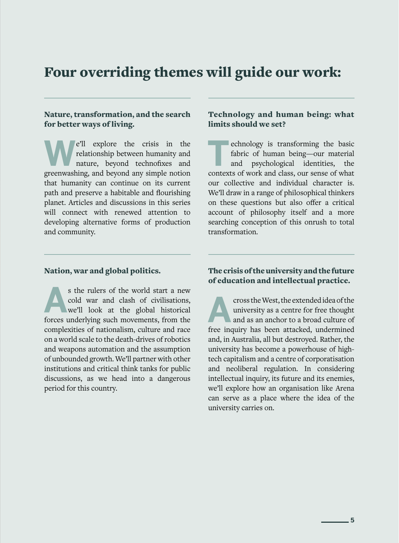### Four overriding themes will guide our work:

#### Nature, transformation, and the search for better ways of living.

**W**e'll explore the crisis in the relationship between humanity and nature, beyond technofixes and greenwashing, and beyond any simple notion that humanity can continue on its current path and preserve a habitable and flourishing planet. Articles and discussions in this series will connect with renewed attention to developing alternative forms of production and community.

#### Technology and human being: what limits should we set?

**THE EXECUTE SERVING SERVING SERVING SERVING SERVING SERVICE SERVICE SUPER STATE SCHOOL SERVICE SERVICE SERVICE SUPER STATE SCHOOL SERVICE SUPER STATE SCHOOL SERVICE SUPER STATE SUPER STATE STATE STATE STATE STATE STATE ST** fabric of human being—our material and psychological identities, the contexts of work and class, our sense of what our collective and individual character is. We'll draw in a range of philosophical thinkers on these questions but also offer a critical account of philosophy itself and a more searching conception of this onrush to total transformation.

#### Nation, war and global politics.

s the rulers of the world start a new cold war and clash of civilisations, we'll look at the global historical forces underlying such movements from the cold war and clash of civilisations, forces underlying such movements, from the complexities of nationalism, culture and race on a world scale to the death-drives of robotics and weapons automation and the assumption of unbounded growth. We'll partner with other institutions and critical think tanks for public discussions, as we head into a dangerous period for this country.

#### The crisis of the university and the future of education and intellectual practice.

**A**cross the West, the extended idea of the university as a centre for free thought and as an anchor to a broad culture of free inquiry has been attacked, undermined and, in Australia, all but destroyed. Rather, the university has become a powerhouse of hightech capitalism and a centre of corporatisation and neoliberal regulation. In considering intellectual inquiry, its future and its enemies, we'll explore how an organisation like Arena can serve as a place where the idea of the university carries on.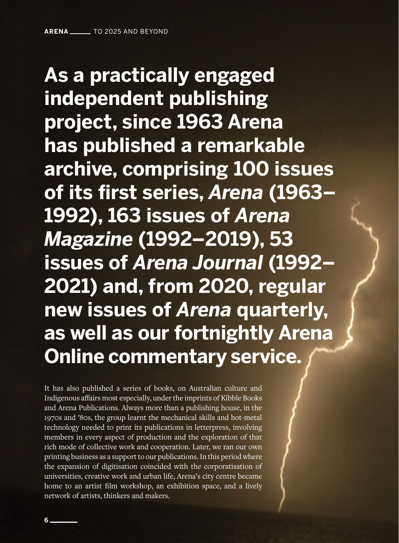**As a practically engaged independent publishing project, since 1963 Arena has published a remarkable archive, comprising 100 issues of its first series,** *Arena* **(1963– 1992), 163 issues of** *Arena Magazine* **(1992–2019), 53 issues of** *Arena Journal* **(1992– 2021) and, from 2020, regular new issues of** *Arena* **quarterly, as well as our fortnightly Arena Online commentary service.** 

It has also published a series of books, on Australian culture and Indigenous affairs most especially, under the imprints of Kibble Books and Arena Publications. Always more than a publishing house, in the 1970s and '80s, the group learnt the mechanical skills and hot-metal technology needed to print its publications in letterpress, involving members in every aspect of production and the exploration of that rich mode of collective work and cooperation. Later, we ran our own printing business as a support to our publications. In this period where the expansion of digitisation coincided with the corporatisation of universities, creative work and urban life, Arena's city centre became home to an artist film workshop, an exhibition space, and a lively network of artists, thinkers and makers.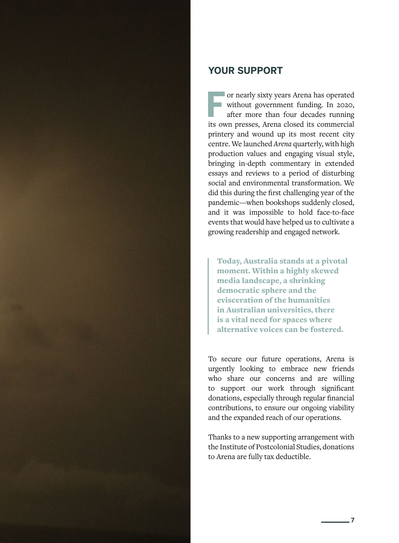

#### **YOUR SUPPORT**

For nearly sixty years Arena has operated<br>without government funding. In 2020,<br>after more than four decades running<br>its own presses. Arena closed its commercial without government funding. In 2020, after more than four decades running its own presses, Arena closed its commercial printery and wound up its most recent city centre. We launched *Arena* quarterly, with high production values and engaging visual style, bringing in-depth commentary in extended essays and reviews to a period of disturbing social and environmental transformation. We did this during the first challenging year of the pandemic—when bookshops suddenly closed, and it was impossible to hold face-to-face events that would have helped us to cultivate a growing readership and engaged network.

Today, Australia stands at a pivotal moment. Within a highly skewed media landscape, a shrinking democratic sphere and the evisceration of the humanities in Australian universities, there is a vital need for spaces where alternative voices can be fostered.

To secure our future operations, Arena is urgently looking to embrace new friends who share our concerns and are willing to support our work through significant donations, especially through regular financial contributions, to ensure our ongoing viability and the expanded reach of our operations.

Thanks to a new supporting arrangement with the Institute of Postcolonial Studies, donations to Arena are fully tax deductible.